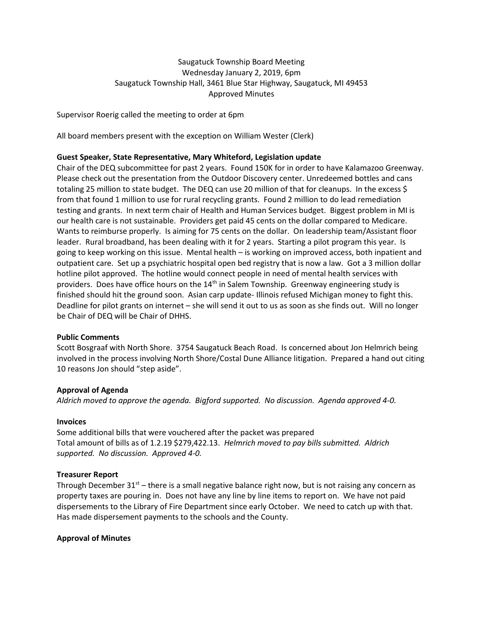# Saugatuck Township Board Meeting Wednesday January 2, 2019, 6pm Saugatuck Township Hall, 3461 Blue Star Highway, Saugatuck, MI 49453 Approved Minutes

Supervisor Roerig called the meeting to order at 6pm

All board members present with the exception on William Wester (Clerk)

### **Guest Speaker, State Representative, Mary Whiteford, Legislation update**

Chair of the DEQ subcommittee for past 2 years. Found 150K for in order to have Kalamazoo Greenway. Please check out the presentation from the Outdoor Discovery center. Unredeemed bottles and cans totaling 25 million to state budget. The DEQ can use 20 million of that for cleanups. In the excess \$ from that found 1 million to use for rural recycling grants. Found 2 million to do lead remediation testing and grants. In next term chair of Health and Human Services budget. Biggest problem in MI is our health care is not sustainable. Providers get paid 45 cents on the dollar compared to Medicare. Wants to reimburse properly. Is aiming for 75 cents on the dollar. On leadership team/Assistant floor leader. Rural broadband, has been dealing with it for 2 years. Starting a pilot program this year. Is going to keep working on this issue. Mental health – is working on improved access, both inpatient and outpatient care. Set up a psychiatric hospital open bed registry that is now a law. Got a 3 million dollar hotline pilot approved. The hotline would connect people in need of mental health services with providers. Does have office hours on the  $14<sup>th</sup>$  in Salem Township. Greenway engineering study is finished should hit the ground soon. Asian carp update- Illinois refused Michigan money to fight this. Deadline for pilot grants on internet – she will send it out to us as soon as she finds out. Will no longer be Chair of DEQ will be Chair of DHHS.

### **Public Comments**

Scott Bosgraaf with North Shore. 3754 Saugatuck Beach Road. Is concerned about Jon Helmrich being involved in the process involving North Shore/Costal Dune Alliance litigation. Prepared a hand out citing 10 reasons Jon should "step aside".

### **Approval of Agenda**

*Aldrich moved to approve the agenda. Bigford supported. No discussion. Agenda approved 4-0.*

### **Invoices**

Some additional bills that were vouchered after the packet was prepared Total amount of bills as of 1.2.19 \$279,422.13. *Helmrich moved to pay bills submitted. Aldrich supported. No discussion. Approved 4-0.* 

### **Treasurer Report**

Through December  $31^{st}$  – there is a small negative balance right now, but is not raising any concern as property taxes are pouring in. Does not have any line by line items to report on. We have not paid dispersements to the Library of Fire Department since early October. We need to catch up with that. Has made dispersement payments to the schools and the County.

### **Approval of Minutes**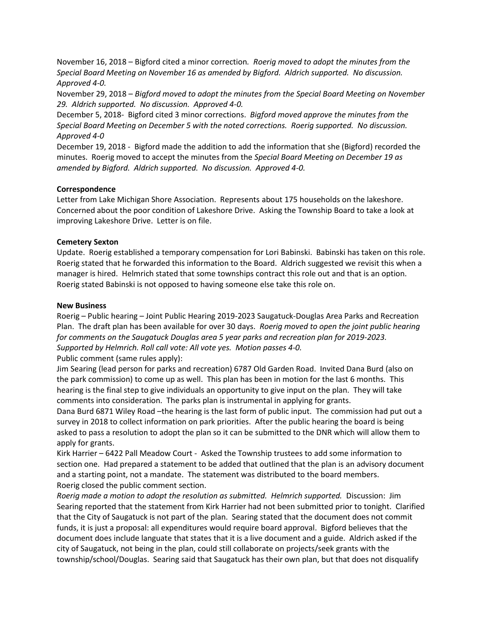November 16, 2018 – Bigford cited a minor correction*. Roerig moved to adopt the minutes from the Special Board Meeting on November 16 as amended by Bigford. Aldrich supported. No discussion. Approved 4-0.*

November 29, 2018 – *Bigford moved to adopt the minutes from the Special Board Meeting on November 29. Aldrich supported. No discussion. Approved 4-0.*

December 5, 2018- Bigford cited 3 minor corrections. *Bigford moved approve the minutes from the Special Board Meeting on December 5 with the noted corrections. Roerig supported. No discussion. Approved 4-0*

December 19, 2018 - Bigford made the addition to add the information that she (Bigford) recorded the minutes. Roerig moved to accept the minutes from the *Special Board Meeting on December 19 as amended by Bigford. Aldrich supported. No discussion. Approved 4-0.*

## **Correspondence**

Letter from Lake Michigan Shore Association. Represents about 175 households on the lakeshore. Concerned about the poor condition of Lakeshore Drive. Asking the Township Board to take a look at improving Lakeshore Drive. Letter is on file.

# **Cemetery Sexton**

Update. Roerig established a temporary compensation for Lori Babinski. Babinski has taken on this role. Roerig stated that he forwarded this information to the Board. Aldrich suggested we revisit this when a manager is hired. Helmrich stated that some townships contract this role out and that is an option. Roerig stated Babinski is not opposed to having someone else take this role on.

# **New Business**

Roerig – Public hearing – Joint Public Hearing 2019-2023 Saugatuck-Douglas Area Parks and Recreation Plan. The draft plan has been available for over 30 days. *Roerig moved to open the joint public hearing for comments on the Saugatuck Douglas area 5 year parks and recreation plan for 2019-2023. Supported by Helmrich. Roll call vote: All vote yes. Motion passes 4-0.*

Public comment (same rules apply):

Jim Searing (lead person for parks and recreation) 6787 Old Garden Road. Invited Dana Burd (also on the park commission) to come up as well. This plan has been in motion for the last 6 months. This hearing is the final step to give individuals an opportunity to give input on the plan. They will take comments into consideration. The parks plan is instrumental in applying for grants.

Dana Burd 6871 Wiley Road –the hearing is the last form of public input. The commission had put out a survey in 2018 to collect information on park priorities. After the public hearing the board is being asked to pass a resolution to adopt the plan so it can be submitted to the DNR which will allow them to apply for grants.

Kirk Harrier – 6422 Pall Meadow Court - Asked the Township trustees to add some information to section one. Had prepared a statement to be added that outlined that the plan is an advisory document and a starting point, not a mandate. The statement was distributed to the board members. Roerig closed the public comment section.

*Roerig made a motion to adopt the resolution as submitted. Helmrich supported.* Discussion: Jim Searing reported that the statement from Kirk Harrier had not been submitted prior to tonight. Clarified that the City of Saugatuck is not part of the plan. Searing stated that the document does not commit funds, it is just a proposal: all expenditures would require board approval. Bigford believes that the document does include languate that states that it is a live document and a guide. Aldrich asked if the city of Saugatuck, not being in the plan, could still collaborate on projects/seek grants with the township/school/Douglas. Searing said that Saugatuck has their own plan, but that does not disqualify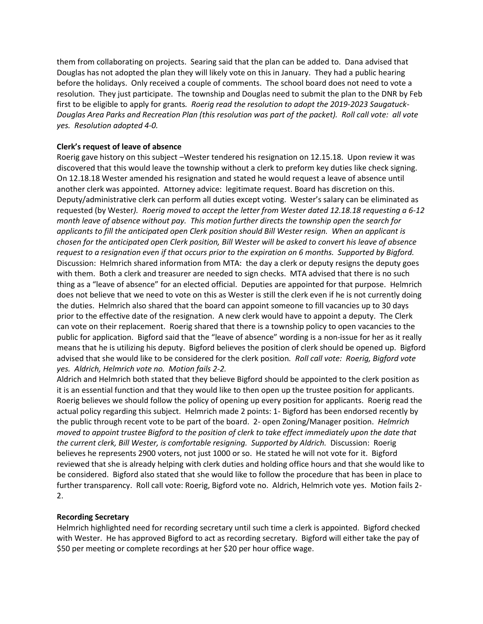them from collaborating on projects. Searing said that the plan can be added to. Dana advised that Douglas has not adopted the plan they will likely vote on this in January. They had a public hearing before the holidays. Only received a couple of comments. The school board does not need to vote a resolution. They just participate. The township and Douglas need to submit the plan to the DNR by Feb first to be eligible to apply for grants*. Roerig read the resolution to adopt the 2019-2023 Saugatuck-Douglas Area Parks and Recreation Plan (this resolution was part of the packet). Roll call vote: all vote yes. Resolution adopted 4-0.*

## **Clerk's request of leave of absence**

Roerig gave history on this subject –Wester tendered his resignation on 12.15.18. Upon review it was discovered that this would leave the township without a clerk to preform key duties like check signing. On 12.18.18 Wester amended his resignation and stated he would request a leave of absence until another clerk was appointed. Attorney advice: legitimate request. Board has discretion on this. Deputy/administrative clerk can perform all duties except voting. Wester's salary can be eliminated as requested (by Wester*). Roerig moved to accept the letter from Wester dated 12.18.18 requesting a 6-12 month leave of absence without pay. This motion further directs the township open the search for applicants to fill the anticipated open Clerk position should Bill Wester resign. When an applicant is chosen for the anticipated open Clerk position, Bill Wester will be asked to convert his leave of absence request to a resignation even if that occurs prior to the expiration on 6 months. Supported by Bigford.* Discussion: Helmrich shared information from MTA: the day a clerk or deputy resigns the deputy goes with them. Both a clerk and treasurer are needed to sign checks. MTA advised that there is no such thing as a "leave of absence" for an elected official. Deputies are appointed for that purpose. Helmrich does not believe that we need to vote on this as Wester is still the clerk even if he is not currently doing the duties. Helmrich also shared that the board can appoint someone to fill vacancies up to 30 days prior to the effective date of the resignation. A new clerk would have to appoint a deputy. The Clerk can vote on their replacement. Roerig shared that there is a township policy to open vacancies to the public for application. Bigford said that the "leave of absence" wording is a non-issue for her as it really means that he is utilizing his deputy. Bigford believes the position of clerk should be opened up. Bigford advised that she would like to be considered for the clerk position*. Roll call vote: Roerig, Bigford vote yes. Aldrich, Helmrich vote no. Motion fails 2-2.*

Aldrich and Helmrich both stated that they believe Bigford should be appointed to the clerk position as it is an essential function and that they would like to then open up the trustee position for applicants. Roerig believes we should follow the policy of opening up every position for applicants. Roerig read the actual policy regarding this subject. Helmrich made 2 points: 1- Bigford has been endorsed recently by the public through recent vote to be part of the board. 2- open Zoning/Manager position. *Helmrich moved to appoint trustee Bigford to the position of clerk to take effect immediately upon the date that the current clerk, Bill Wester, is comfortable resigning. Supported by Aldrich.* Discussion: Roerig believes he represents 2900 voters, not just 1000 or so. He stated he will not vote for it. Bigford reviewed that she is already helping with clerk duties and holding office hours and that she would like to be considered. Bigford also stated that she would like to follow the procedure that has been in place to further transparency. Roll call vote: Roerig, Bigford vote no. Aldrich, Helmrich vote yes. Motion fails 2- 2.

## **Recording Secretary**

Helmrich highlighted need for recording secretary until such time a clerk is appointed. Bigford checked with Wester. He has approved Bigford to act as recording secretary. Bigford will either take the pay of \$50 per meeting or complete recordings at her \$20 per hour office wage.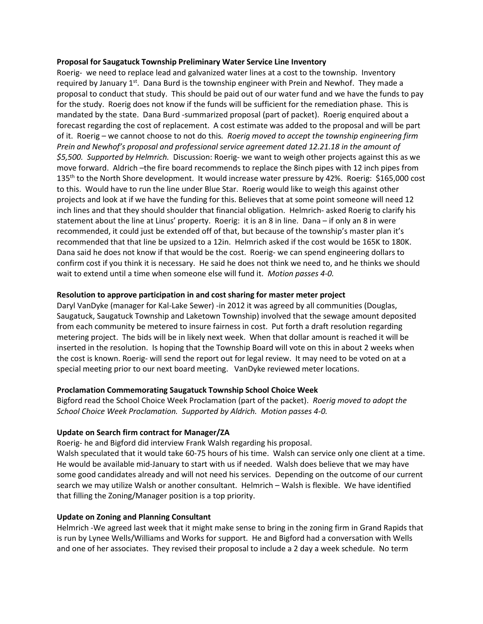### **Proposal for Saugatuck Township Preliminary Water Service Line Inventory**

Roerig- we need to replace lead and galvanized water lines at a cost to the township. Inventory required by January  $1^{st}$ . Dana Burd is the township engineer with Prein and Newhof. They made a proposal to conduct that study. This should be paid out of our water fund and we have the funds to pay for the study. Roerig does not know if the funds will be sufficient for the remediation phase. This is mandated by the state. Dana Burd -summarized proposal (part of packet). Roerig enquired about a forecast regarding the cost of replacement. A cost estimate was added to the proposal and will be part of it. Roerig – we cannot choose to not do this*. Roerig moved to accept the township engineering firm Prein and Newhof's proposal and professional service agreement dated 12.21.18 in the amount of \$5,500. Supported by Helmrich.* Discussion: Roerig- we want to weigh other projects against this as we move forward. Aldrich –the fire board recommends to replace the 8inch pipes with 12 inch pipes from 135th to the North Shore development. It would increase water pressure by 42%. Roerig: \$165,000 cost to this. Would have to run the line under Blue Star. Roerig would like to weigh this against other projects and look at if we have the funding for this. Believes that at some point someone will need 12 inch lines and that they should shoulder that financial obligation. Helmrich- asked Roerig to clarify his statement about the line at Linus' property. Roerig: it is an 8 in line. Dana – if only an 8 in were recommended, it could just be extended off of that, but because of the township's master plan it's recommended that that line be upsized to a 12in. Helmrich asked if the cost would be 165K to 180K. Dana said he does not know if that would be the cost. Roerig- we can spend engineering dollars to confirm cost if you think it is necessary. He said he does not think we need to, and he thinks we should wait to extend until a time when someone else will fund it. *Motion passes 4-0.*

## **Resolution to approve participation in and cost sharing for master meter project**

Daryl VanDyke (manager for Kal-Lake Sewer) -in 2012 it was agreed by all communities (Douglas, Saugatuck, Saugatuck Township and Laketown Township) involved that the sewage amount deposited from each community be metered to insure fairness in cost. Put forth a draft resolution regarding metering project. The bids will be in likely next week. When that dollar amount is reached it will be inserted in the resolution. Is hoping that the Township Board will vote on this in about 2 weeks when the cost is known. Roerig- will send the report out for legal review. It may need to be voted on at a special meeting prior to our next board meeting. VanDyke reviewed meter locations.

## **Proclamation Commemorating Saugatuck Township School Choice Week**

Bigford read the School Choice Week Proclamation (part of the packet). *Roerig moved to adopt the School Choice Week Proclamation. Supported by Aldrich. Motion passes 4-0.*

## **Update on Search firm contract for Manager/ZA**

Roerig- he and Bigford did interview Frank Walsh regarding his proposal.

Walsh speculated that it would take 60-75 hours of his time. Walsh can service only one client at a time. He would be available mid-January to start with us if needed. Walsh does believe that we may have some good candidates already and will not need his services. Depending on the outcome of our current search we may utilize Walsh or another consultant. Helmrich – Walsh is flexible. We have identified that filling the Zoning/Manager position is a top priority.

## **Update on Zoning and Planning Consultant**

Helmrich -We agreed last week that it might make sense to bring in the zoning firm in Grand Rapids that is run by Lynee Wells/Williams and Works for support. He and Bigford had a conversation with Wells and one of her associates. They revised their proposal to include a 2 day a week schedule. No term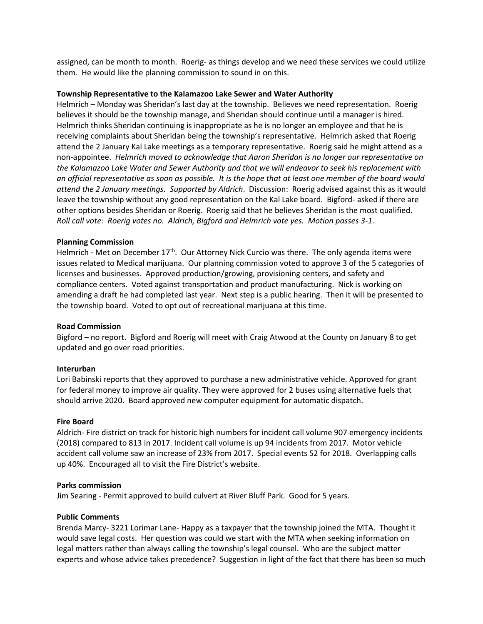assigned, can be month to month. Roerig- as things develop and we need these services we could utilize them. He would like the planning commission to sound in on this.

### **Township Representative to the Kalamazoo Lake Sewer and Water Authority**

Helmrich – Monday was Sheridan's last day at the township. Believes we need representation. Roerig believes it should be the township manage, and Sheridan should continue until a manager is hired. Helmrich thinks Sheridan continuing is inappropriate as he is no longer an employee and that he is receiving complaints about Sheridan being the township's representative. Helmrich asked that Roerig attend the 2 January Kal Lake meetings as a temporary representative. Roerig said he might attend as a non-appointee. *Helmrich moved to acknowledge that Aaron Sheridan is no longer our representative on the Kalamazoo Lake Water and Sewer Authority and that we will endeavor to seek his replacement with an official representative as soon as possible. It is the hope that at least one member of the board would attend the 2 January meetings. Supported by Aldrich*. Discussion: Roerig advised against this as it would leave the township without any good representation on the Kal Lake board. Bigford- asked if there are other options besides Sheridan or Roerig. Roerig said that he believes Sheridan is the most qualified. *Roll call vote: Roerig votes no. Aldrich, Bigford and Helmrich vote yes. Motion passes 3-1.*

### **Planning Commission**

Helmrich - Met on December  $17<sup>th</sup>$ . Our Attorney Nick Curcio was there. The only agenda items were issues related to Medical marijuana. Our planning commission voted to approve 3 of the 5 categories of licenses and businesses. Approved production/growing, provisioning centers, and safety and compliance centers. Voted against transportation and product manufacturing. Nick is working on amending a draft he had completed last year. Next step is a public hearing. Then it will be presented to the township board. Voted to opt out of recreational marijuana at this time.

## **Road Commission**

Bigford – no report. Bigford and Roerig will meet with Craig Atwood at the County on January 8 to get updated and go over road priorities.

### **Interurban**

Lori Babinski reports that they approved to purchase a new administrative vehicle. Approved for grant for federal money to improve air quality. They were approved for 2 buses using alternative fuels that should arrive 2020. Board approved new computer equipment for automatic dispatch.

### **Fire Board**

Aldrich- Fire district on track for historic high numbers for incident call volume 907 emergency incidents (2018) compared to 813 in 2017. Incident call volume is up 94 incidents from 2017. Motor vehicle accident call volume saw an increase of 23% from 2017. Special events 52 for 2018. Overlapping calls up 40%. Encouraged all to visit the Fire District's website.

### **Parks commission**

Jim Searing - Permit approved to build culvert at River Bluff Park. Good for 5 years.

### **Public Comments**

Brenda Marcy- 3221 Lorimar Lane- Happy as a taxpayer that the township joined the MTA. Thought it would save legal costs. Her question was could we start with the MTA when seeking information on legal matters rather than always calling the township's legal counsel. Who are the subject matter experts and whose advice takes precedence? Suggestion in light of the fact that there has been so much